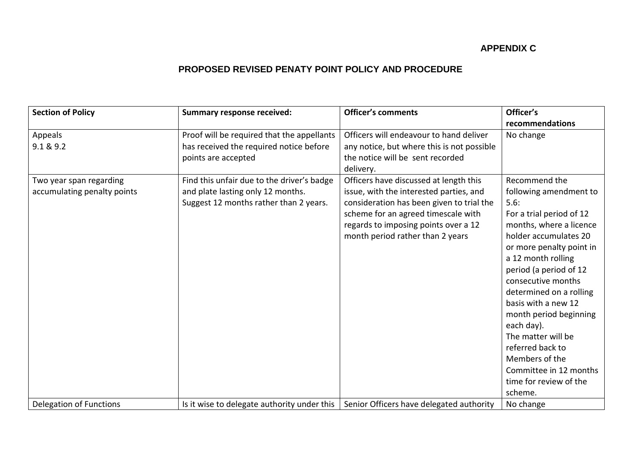## **APPENDIX C**

## **PROPOSED REVISED PENATY POINT POLICY AND PROCEDURE**

| <b>Section of Policy</b>    | <b>Summary response received:</b>           | <b>Officer's comments</b>                  | Officer's                |
|-----------------------------|---------------------------------------------|--------------------------------------------|--------------------------|
|                             |                                             |                                            | recommendations          |
| Appeals                     | Proof will be required that the appellants  | Officers will endeavour to hand deliver    | No change                |
| 9.1 & 9.2                   | has received the required notice before     | any notice, but where this is not possible |                          |
|                             | points are accepted                         | the notice will be sent recorded           |                          |
|                             |                                             | delivery.                                  |                          |
| Two year span regarding     | Find this unfair due to the driver's badge  | Officers have discussed at length this     | Recommend the            |
| accumulating penalty points | and plate lasting only 12 months.           | issue, with the interested parties, and    | following amendment to   |
|                             | Suggest 12 months rather than 2 years.      | consideration has been given to trial the  | 5.6:                     |
|                             |                                             | scheme for an agreed timescale with        | For a trial period of 12 |
|                             |                                             | regards to imposing points over a 12       | months, where a licence  |
|                             |                                             | month period rather than 2 years           | holder accumulates 20    |
|                             |                                             |                                            | or more penalty point in |
|                             |                                             |                                            | a 12 month rolling       |
|                             |                                             |                                            | period (a period of 12   |
|                             |                                             |                                            | consecutive months       |
|                             |                                             |                                            | determined on a rolling  |
|                             |                                             |                                            | basis with a new 12      |
|                             |                                             |                                            | month period beginning   |
|                             |                                             |                                            | each day).               |
|                             |                                             |                                            | The matter will be       |
|                             |                                             |                                            | referred back to         |
|                             |                                             |                                            | Members of the           |
|                             |                                             |                                            | Committee in 12 months   |
|                             |                                             |                                            | time for review of the   |
|                             |                                             |                                            | scheme.                  |
| Delegation of Functions     | Is it wise to delegate authority under this | Senior Officers have delegated authority   | No change                |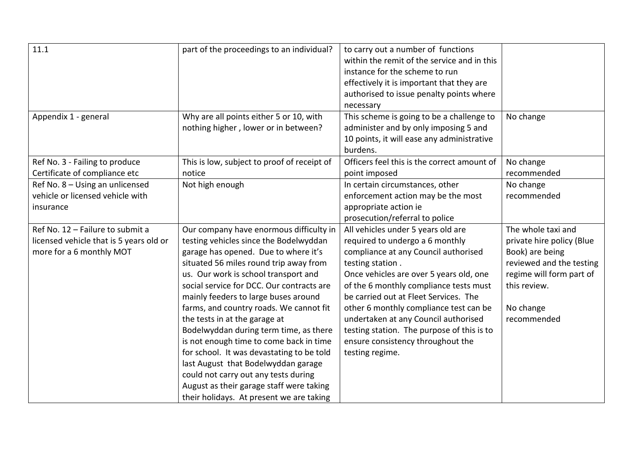| 11.1                                                                                                    | part of the proceedings to an individual?                                                                                                                                                                                                                                                                                                                                                                                                                                                                                                                                                                                                                                             | to carry out a number of functions<br>within the remit of the service and in this<br>instance for the scheme to run<br>effectively it is important that they are<br>authorised to issue penalty points where                                                                                                                                                                                                                                            |                                                                                                                                                                        |
|---------------------------------------------------------------------------------------------------------|---------------------------------------------------------------------------------------------------------------------------------------------------------------------------------------------------------------------------------------------------------------------------------------------------------------------------------------------------------------------------------------------------------------------------------------------------------------------------------------------------------------------------------------------------------------------------------------------------------------------------------------------------------------------------------------|---------------------------------------------------------------------------------------------------------------------------------------------------------------------------------------------------------------------------------------------------------------------------------------------------------------------------------------------------------------------------------------------------------------------------------------------------------|------------------------------------------------------------------------------------------------------------------------------------------------------------------------|
| Appendix 1 - general                                                                                    | Why are all points either 5 or 10, with<br>nothing higher, lower or in between?                                                                                                                                                                                                                                                                                                                                                                                                                                                                                                                                                                                                       | necessary<br>This scheme is going to be a challenge to<br>administer and by only imposing 5 and<br>10 points, it will ease any administrative<br>burdens.                                                                                                                                                                                                                                                                                               | No change                                                                                                                                                              |
| Ref No. 3 - Failing to produce<br>Certificate of compliance etc                                         | This is low, subject to proof of receipt of<br>notice                                                                                                                                                                                                                                                                                                                                                                                                                                                                                                                                                                                                                                 | Officers feel this is the correct amount of<br>point imposed                                                                                                                                                                                                                                                                                                                                                                                            | No change<br>recommended                                                                                                                                               |
| Ref No. 8 - Using an unlicensed<br>vehicle or licensed vehicle with<br>insurance                        | Not high enough                                                                                                                                                                                                                                                                                                                                                                                                                                                                                                                                                                                                                                                                       | In certain circumstances, other<br>enforcement action may be the most<br>appropriate action ie<br>prosecution/referral to police                                                                                                                                                                                                                                                                                                                        | No change<br>recommended                                                                                                                                               |
| Ref No. 12 - Failure to submit a<br>licensed vehicle that is 5 years old or<br>more for a 6 monthly MOT | Our company have enormous difficulty in<br>testing vehicles since the Bodelwyddan<br>garage has opened. Due to where it's<br>situated 56 miles round trip away from<br>us. Our work is school transport and<br>social service for DCC. Our contracts are<br>mainly feeders to large buses around<br>farms, and country roads. We cannot fit<br>the tests in at the garage at<br>Bodelwyddan during term time, as there<br>is not enough time to come back in time<br>for school. It was devastating to be told<br>last August that Bodelwyddan garage<br>could not carry out any tests during<br>August as their garage staff were taking<br>their holidays. At present we are taking | All vehicles under 5 years old are<br>required to undergo a 6 monthly<br>compliance at any Council authorised<br>testing station.<br>Once vehicles are over 5 years old, one<br>of the 6 monthly compliance tests must<br>be carried out at Fleet Services. The<br>other 6 monthly compliance test can be<br>undertaken at any Council authorised<br>testing station. The purpose of this is to<br>ensure consistency throughout the<br>testing regime. | The whole taxi and<br>private hire policy (Blue<br>Book) are being<br>reviewed and the testing<br>regime will form part of<br>this review.<br>No change<br>recommended |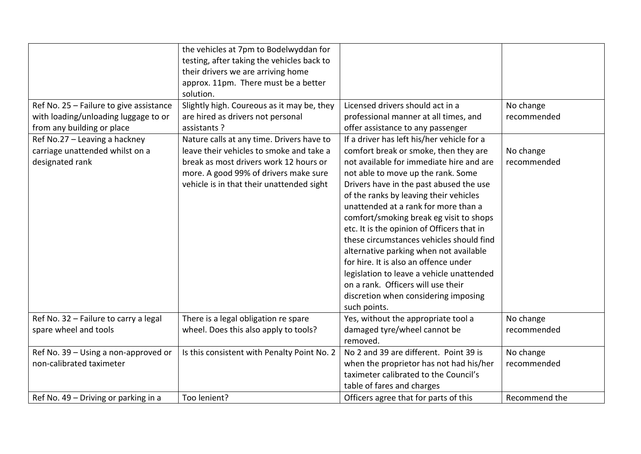|                                         | the vehicles at 7pm to Bodelwyddan for      |                                            |               |
|-----------------------------------------|---------------------------------------------|--------------------------------------------|---------------|
|                                         | testing, after taking the vehicles back to  |                                            |               |
|                                         | their drivers we are arriving home          |                                            |               |
|                                         | approx. 11pm. There must be a better        |                                            |               |
|                                         | solution.                                   |                                            |               |
| Ref No. 25 - Failure to give assistance | Slightly high. Coureous as it may be, they  | Licensed drivers should act in a           | No change     |
| with loading/unloading luggage to or    | are hired as drivers not personal           | professional manner at all times, and      | recommended   |
| from any building or place              | assistants ?                                | offer assistance to any passenger          |               |
| Ref No.27 - Leaving a hackney           | Nature calls at any time. Drivers have to   | If a driver has left his/her vehicle for a |               |
| carriage unattended whilst on a         | leave their vehicles to smoke and take a    | comfort break or smoke, then they are      | No change     |
| designated rank                         | break as most drivers work 12 hours or      | not available for immediate hire and are   | recommended   |
|                                         | more. A good 99% of drivers make sure       | not able to move up the rank. Some         |               |
|                                         | vehicle is in that their unattended sight   | Drivers have in the past abused the use    |               |
|                                         |                                             | of the ranks by leaving their vehicles     |               |
|                                         |                                             | unattended at a rank for more than a       |               |
|                                         |                                             | comfort/smoking break eg visit to shops    |               |
|                                         |                                             | etc. It is the opinion of Officers that in |               |
|                                         |                                             | these circumstances vehicles should find   |               |
|                                         |                                             | alternative parking when not available     |               |
|                                         |                                             | for hire. It is also an offence under      |               |
|                                         |                                             | legislation to leave a vehicle unattended  |               |
|                                         |                                             | on a rank. Officers will use their         |               |
|                                         |                                             | discretion when considering imposing       |               |
|                                         |                                             | such points.                               |               |
| Ref No. 32 - Failure to carry a legal   | There is a legal obligation re spare        | Yes, without the appropriate tool a        | No change     |
| spare wheel and tools                   | wheel. Does this also apply to tools?       | damaged tyre/wheel cannot be               | recommended   |
|                                         |                                             | removed.                                   |               |
| Ref No. 39 - Using a non-approved or    | Is this consistent with Penalty Point No. 2 | No 2 and 39 are different. Point 39 is     | No change     |
| non-calibrated taximeter                |                                             | when the proprietor has not had his/her    | recommended   |
|                                         |                                             | taximeter calibrated to the Council's      |               |
|                                         |                                             | table of fares and charges                 |               |
| Ref No. 49 – Driving or parking in a    | Too lenient?                                | Officers agree that for parts of this      | Recommend the |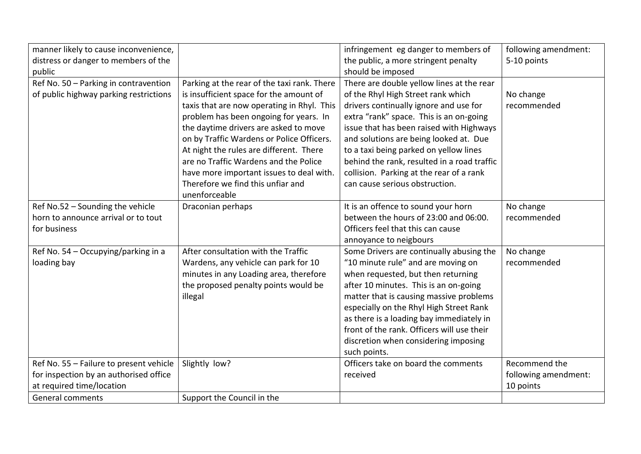| manner likely to cause inconvenience,   |                                             | infringement eg danger to members of        | following amendment: |
|-----------------------------------------|---------------------------------------------|---------------------------------------------|----------------------|
| distress or danger to members of the    |                                             | the public, a more stringent penalty        | 5-10 points          |
| public                                  |                                             | should be imposed                           |                      |
| Ref No. 50 - Parking in contravention   | Parking at the rear of the taxi rank. There | There are double yellow lines at the rear   |                      |
| of public highway parking restrictions  | is insufficient space for the amount of     | of the Rhyl High Street rank which          | No change            |
|                                         | taxis that are now operating in Rhyl. This  | drivers continually ignore and use for      | recommended          |
|                                         | problem has been ongoing for years. In      | extra "rank" space. This is an on-going     |                      |
|                                         | the daytime drivers are asked to move       | issue that has been raised with Highways    |                      |
|                                         | on by Traffic Wardens or Police Officers.   | and solutions are being looked at. Due      |                      |
|                                         | At night the rules are different. There     | to a taxi being parked on yellow lines      |                      |
|                                         | are no Traffic Wardens and the Police       | behind the rank, resulted in a road traffic |                      |
|                                         | have more important issues to deal with.    | collision. Parking at the rear of a rank    |                      |
|                                         | Therefore we find this unfiar and           | can cause serious obstruction.              |                      |
|                                         | unenforceable                               |                                             |                      |
| Ref No.52 - Sounding the vehicle        | Draconian perhaps                           | It is an offence to sound your horn         | No change            |
| horn to announce arrival or to tout     |                                             | between the hours of 23:00 and 06:00.       | recommended          |
| for business                            |                                             | Officers feel that this can cause           |                      |
|                                         |                                             | annoyance to neigbours                      |                      |
| Ref No. 54 - Occupying/parking in a     | After consultation with the Traffic         | Some Drivers are continually abusing the    | No change            |
| loading bay                             | Wardens, any vehicle can park for 10        | "10 minute rule" and are moving on          | recommended          |
|                                         | minutes in any Loading area, therefore      | when requested, but then returning          |                      |
|                                         | the proposed penalty points would be        | after 10 minutes. This is an on-going       |                      |
|                                         | illegal                                     | matter that is causing massive problems     |                      |
|                                         |                                             | especially on the Rhyl High Street Rank     |                      |
|                                         |                                             | as there is a loading bay immediately in    |                      |
|                                         |                                             | front of the rank. Officers will use their  |                      |
|                                         |                                             | discretion when considering imposing        |                      |
|                                         |                                             | such points.                                |                      |
| Ref No. 55 - Failure to present vehicle | Slightly low?                               | Officers take on board the comments         | Recommend the        |
| for inspection by an authorised office  |                                             | received                                    | following amendment: |
| at required time/location               |                                             |                                             | 10 points            |
| <b>General comments</b>                 | Support the Council in the                  |                                             |                      |